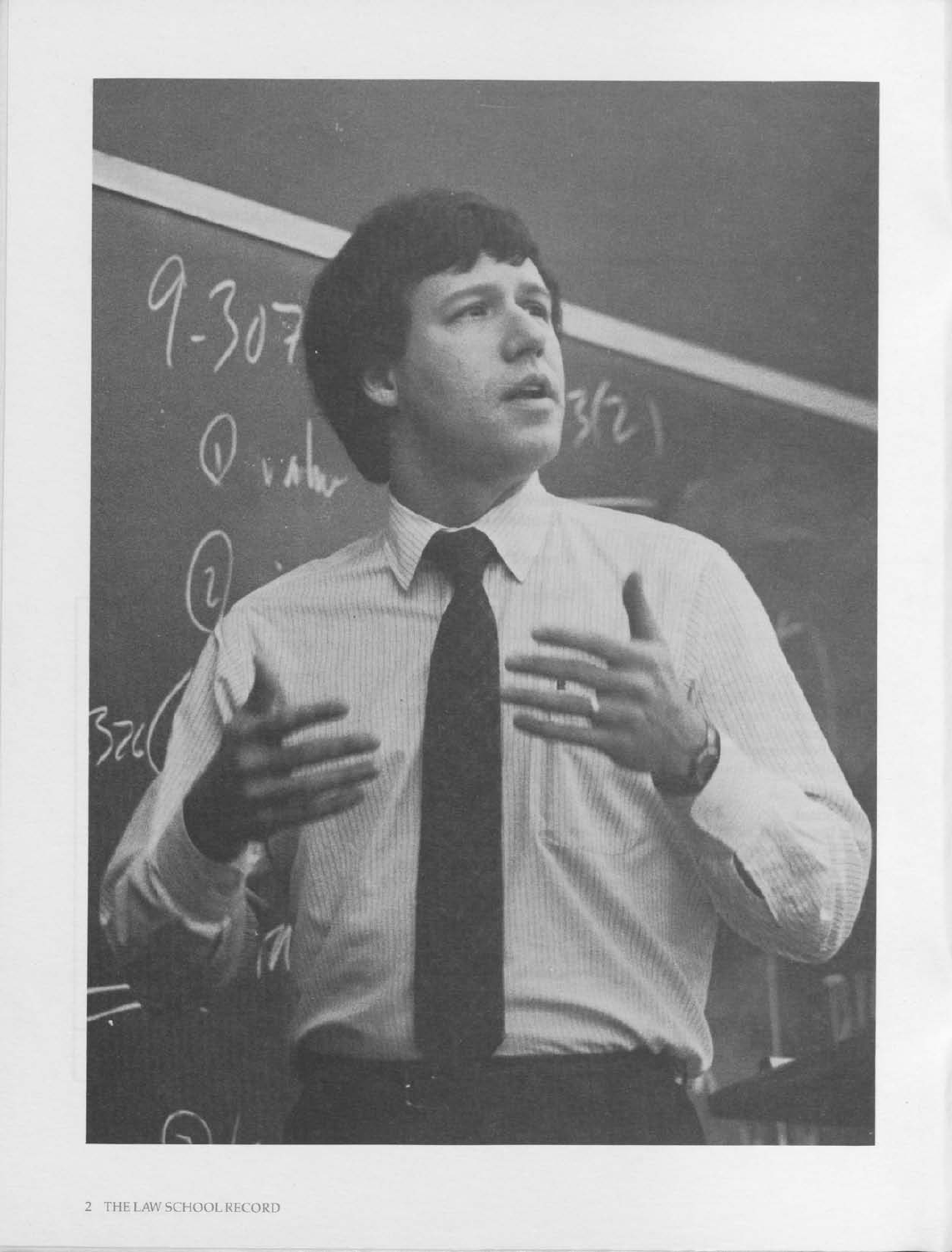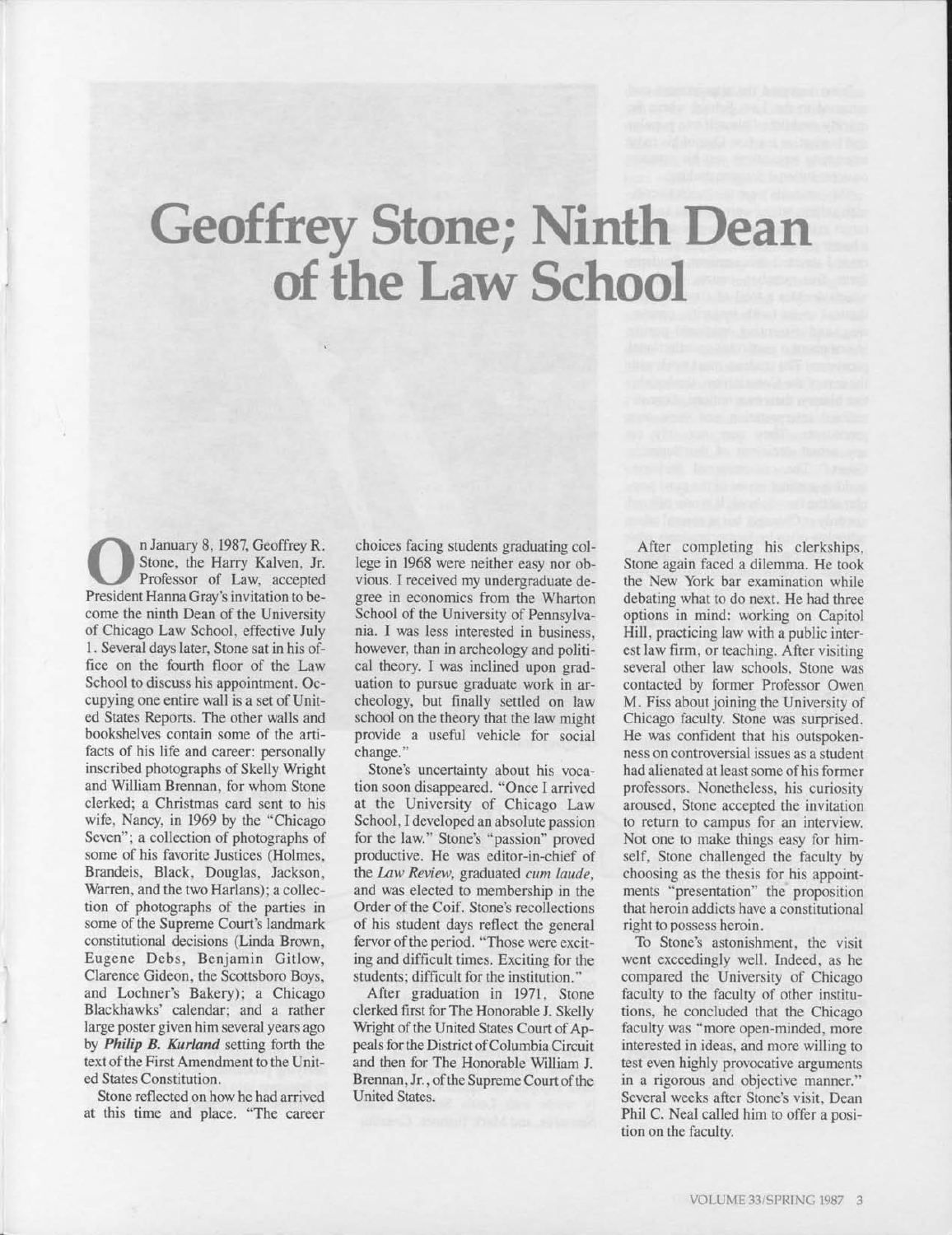## Geoffrey Stone; Ninth Dean of the Law School

n January 8, 1987, Geoffrey R.<br>Stone, the Harry Kalven, Jr.<br>Professor of Law, accepted<br>President Hanna Gray's invitation to benJanuary 8,1987, Geoffrey R. Stone, the Harry Kalven, Jr. Professor of Law, accepted come the ninth Dean of the University of Chicago Law School, effective July 1. Several days later, Stone sat in his office on the fourth floor of the Law School to discuss his appointment. Occupying one entire wall is <sup>a</sup> set of United States Reports. The other walls and bookshelves contain some of the artifacts of his life and career: personally inscribed photographs of Skelly Wright and William Brennan, for whom Stone clerked; a Christmas card sent to his wife, Nancy, in <sup>1969</sup> by the "Chicago Seven"; <sup>a</sup> collection of photographs of some of his favorite Justices (Holmes, Brandeis, Black, Douglas, Jackson, Warren, and the two Harlans); <sup>a</sup> collection of photographs of the parties in some of the Supreme Court's landmark constitutional decisions (Linda Brown, Eugene Debs, Benjamin Gitlow, Clarence Gideon, the Scottsboro Boys, and Lochner's Bakery); <sup>a</sup> Chicago Blackhawks' calendar; and <sup>a</sup> rather large poster given him several years ago by Philip B. Kurland setting forth the text of the First Amendment to the United States Constitution.

Stone reflected on how he had arrived at this time and place. "The career

choices facing students graduating college in <sup>1968</sup> were neither easy nor obvious. I received my undergraduate degree in economics from the Wharton School of the University of Pennsylvania. I was less interested in business, however, than in archeology and political theory. I was inclined upon graduation to pursue graduate work in archeology, but finally settled on law school on the theory that the law might provide <sup>a</sup> useful vehicle for social change."

Stone's uncertainty about his vocation soon disappeared. "Once I arrived at the University of Chicago Law School, I developed an absolute passion for the law." Stone's "passion" proved productive. He was editor-in-chief of the Law Review, graduated cum laude, and was elected to membership in the Order of the Coif. Stone's recollections of his student days reflect the general fervor of the period. "Those were exciting and difficult times. Exciting for the students; difficult for the institution."

After graduation in 1971, Stone clerked first for The Honorable 1. Skelly Wright of the United States Court of Appeals for the District of Columbia Circuit and then for The Honorable William 1. Brennan, Jr., of the Supreme Court of the United States.

After completing his clerkships, Stone again faced <sup>a</sup> dilemma. He took the New York bar examination while debating what to do next. He had three options in mind: working on Capitol Hill, practicing law with <sup>a</sup> public interest law firm, or teaching. After visiting several other law schools, Stone was contacted by former Professor Owen M. Piss about joining the University of Chicago faculty. Stone was surprised. He was confident that his outspokenness on controversial issues as a student had alienated at least some of his former professors. Nonetheless, his curiosity aroused, Stone accepted the invitation to return to campus for an interview. Not one to make things easy for himself, Stone challenged the faculty by choosing as the thesis for his appointments "presentation" the proposition that heroin addicts have a constitutional right to possess heroin.

To Stone's astonishment, the visit went exceedingly well. Indeed, as he compared the University of Chicago faculty to the faculty of other institutions, he concluded that the Chicago faculty was "more open-minded, more interested in ideas, and more willing to test even highly provocative arguments in a rigorous. and objective manner." Several weeks after Stone's visit, Dean Phil C. Neal called him to offer <sup>a</sup> position on the faculty.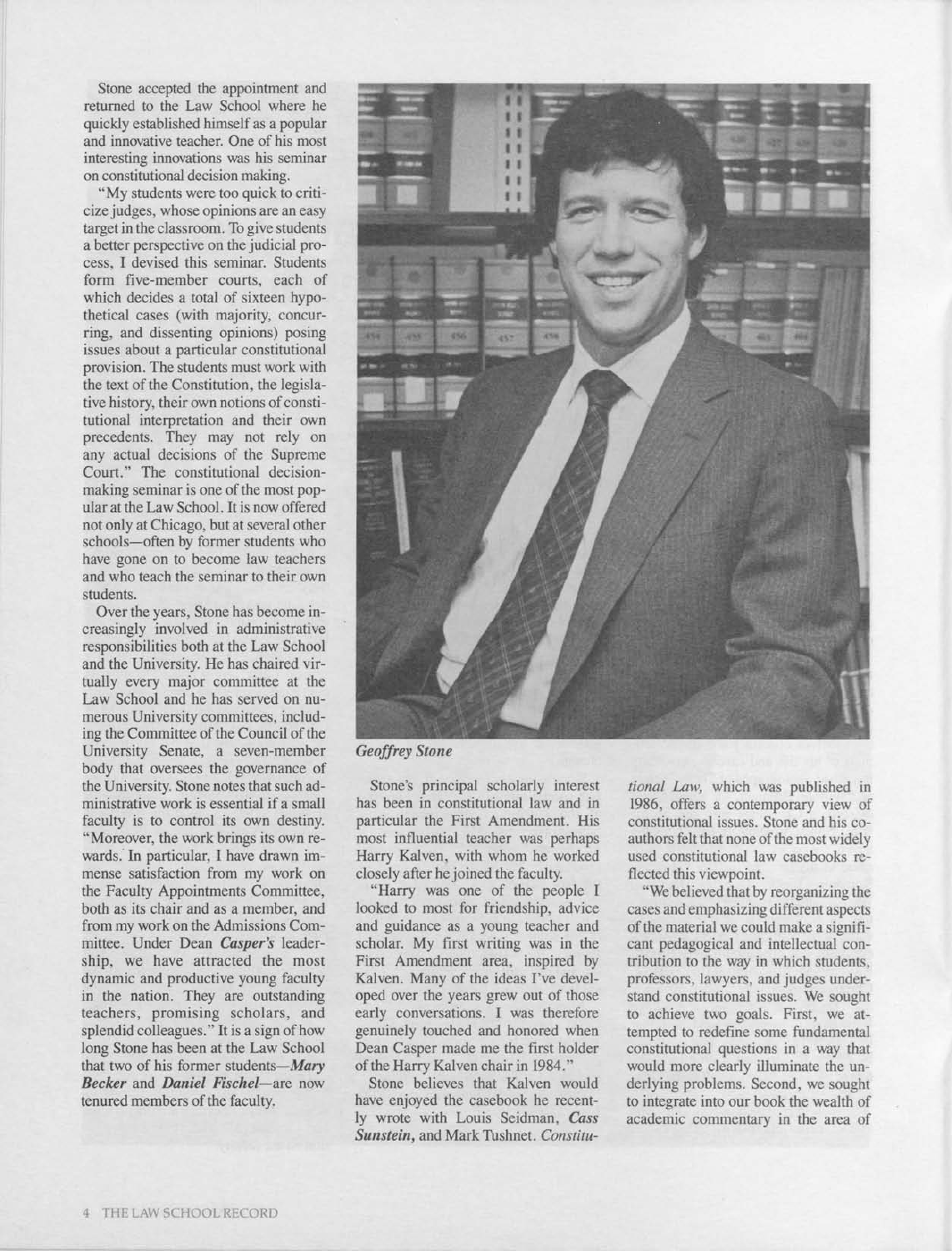Stone accepted the appointment and returned to the Law School where he quickly established himself as <sup>a</sup> popular and innovative teacher. One of his most interesting innovations was his seminar on constitutional decision making.

"My students were too quick to criticize judges, whose opinions are an easy target in the classroom. To give students <sup>a</sup> better perspective on the judicial process, I devised this seminar. Students form five-member courts, each of which decides <sup>a</sup> total of sixteen hypothetical cases (with majority, concurring, and dissenting opinions) posing issues about <sup>a</sup> particular constitutional provision. The students must work with the text of the Constitution, the legislative history, their own notions of constitutional interpretation and their own precedents. They may not rely on any actual decisions of the Supreme Court." The constitutional decisionmaking seminar is one of the most popular at the Law School. It is now offered not only at Chicago, but at several other schools-often by former students who have gone on to become law teachers and who teach the seminar to their own students.

Over the years, Stone has become increasingly involved in administrative responsibilities both at the Law School and the University. He has chaired virtually every major committee at the Law School and he has served on numerous University committees, including the Committee of the Council of the University Senate, <sup>a</sup> seven-member body that oversees the governance of the University. Stone notes that such administrative work is essential if <sup>a</sup> small faculty is to control its own destiny. "Moreover, the work brings its own rewards. In particular, I have drawn immense satisfaction from my work on the Faculty Appointments Committee, both as its chair and as <sup>a</sup> member, and from my work on the Admissions Committee. Under Dean Casper's leadership, we have attracted the most dynamic and productive young faculty in the nation. They are outstanding teachers, promising scholars, and splendid colleagues." It is <sup>a</sup> sign of how long Stone has been at the Law School that two of his former students- $Marv$ Becker and Daniel Fischel-are now tenured members of the faculty.



Geoffrey Stone

Stone's principal scholarly interest has been in constitutional law and in particular the First Amendment. His most influential teacher was perhaps Harry Kalven, with whom he worked closely after he joined the faculty.

"Harry was one of the people I looked to most for friendship, advice and guidance as <sup>a</sup> young teacher and scholar. My first writing was in the First Amendment area, inspired by Kalven. Many of the ideas I've developed over the years grew out of those early conversations. I was therefore genuinely touched and honored when Dean Casper made me the first holder of the Harry Kalven chair in 1984."

Stone believes that Kalven would have enjoyed the casebook he recently wrote with Louis Seidman, Cass Sunstein, and Mark Tushnet. Constitu-

tional Law, which was published in 1986, offers <sup>a</sup> contemporary view of constitutional issues. Stone and his coauthors felt that none of the most widely used constitutional law casebooks reflected this viewpoint.

"We believed that by reorganizing the cases and emphasizing different aspects of the material we could make <sup>a</sup> significant pedagogical and intellectual contribution to the way in which students, professors, lawyers, and judges understand constitutional issues. We sought to achieve two goals. First, we attempted to redefine some fundamental constitutional questions in <sup>a</sup> way that would more clearly illuminate the underlying problems. Second, we sought to integrate into our book the wealth of academic commentary in the area of